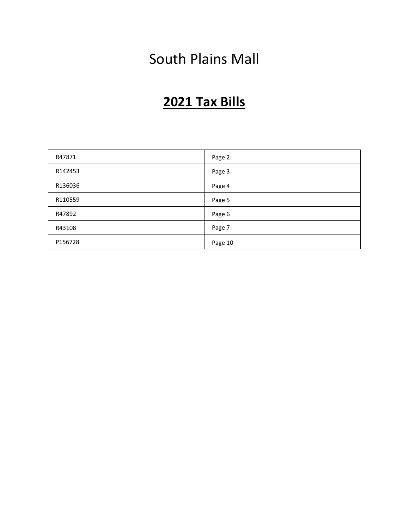# South Plains Mall

# **2021 Tax Bills**

| R47871  | Page 2  |
|---------|---------|
| R142453 | Page 3  |
| R136036 | Page 4  |
| R110559 | Page 5  |
| R47892  | Page 6  |
| R43108  | Page 7  |
| P156728 | Page 10 |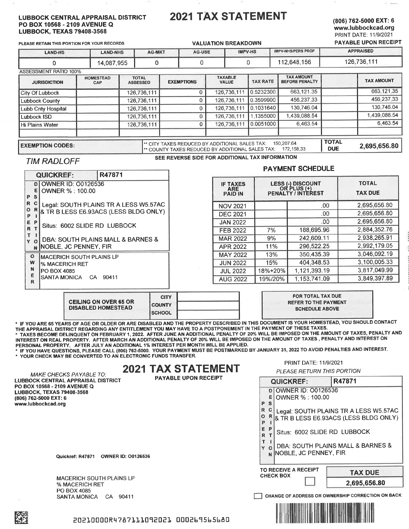#### **LUBBOCK CENTRAL APPRAISAL DISTRICT** PO BOX 10568 - 2109 AVENUE Q **LUBBOCK, TEXAS 79408-3568**

# **2021 TAX STATEMENT**

## (806) 762-5000 EXT: 6 www.lubbockcad.org PRINT DATE: 11/9/2021

| PLEASE RETAIN THIS PORTION FOR YOUR RECORDS |                         |                                 |                                                | <b>VALUATION BREAKDOWN</b>                     |                 |                                            |                            | <b>PAYABLE UPON RECEIPT</b> |
|---------------------------------------------|-------------------------|---------------------------------|------------------------------------------------|------------------------------------------------|-----------------|--------------------------------------------|----------------------------|-----------------------------|
| <b>LAND-HS</b>                              | <b>LAND-NHS</b>         | <b>AG-MKT</b>                   | <b>IMPV-NHS/PERS PROP</b><br>IMPV-HS<br>AG-USE |                                                |                 |                                            | <b>APPRAISED</b>           |                             |
| o                                           | 14,087,955              | 0                               | 0                                              | 112,648,156                                    |                 |                                            | 126.736.111                |                             |
| ASSESSMENT RATIO 100%                       |                         |                                 |                                                |                                                |                 |                                            |                            |                             |
| <b>JURISDICTION</b>                         | <b>HOMESTEAD</b><br>CAP | <b>TOTAL</b><br><b>ASSESSED</b> | <b>EXEMPTIONS</b>                              | <b>TAXABLE</b><br><b>VALUE</b>                 | <b>TAX RATE</b> | <b>TAX AMOUNT</b><br><b>BEFORE PENALTY</b> |                            | <b>TAX AMOUNT</b>           |
| City Of Lubbock                             |                         | 126,736,111                     |                                                | 126,736,11                                     | 0.5232300       | 663,121.35                                 |                            | 663,121.35                  |
| <b>Lubbock County</b>                       |                         | 126,736,111                     |                                                | 126,736,111                                    | 0.3599900       | 456,237.33                                 |                            | 456,237.33                  |
| Lubb Cnty Hospital                          |                         | 126,736,111                     |                                                | 126,736,111                                    | 0.1031640       | 130,746.04                                 |                            | 130,746.04                  |
| Lubbock ISD                                 |                         | 126,736,111                     |                                                | 126,736,111                                    | 1.1355000       | 1,439,088.54                               |                            | 1.439.088.54                |
| <b>Hi Plains Water</b>                      |                         | 126,736,111                     |                                                | 126.736.111                                    | 0.0051000       | 6.463.54                                   |                            | 6,463.54                    |
| <b>EXEMPTION CODES:</b>                     |                         |                                 |                                                | ** CITY TAXES REDUCED BY ADDITIONAL SALES TAX: |                 | 150.207.64<br>17015032                     | <b>TOTAL</b><br><b>NIC</b> | 2,695,656.80                |

#### **EXEMPTION CODES:**

\*\* COUNTY TAXES REDUCED BY ADDITIONAL SALES TAX: 172,158.33 SEE REVERSE SIDE FOR ADDITIONAL TAX INFORMATION

# **TIM RADLOFF**

## **PAYMENT SCHEDULE**

l pue

|                                                                  | <b>QUICKREF:</b>                                                                   | R47871                                |                                                 | <u>FAIMENI ƏVIEDULE</u> |                                                        |                                |  |
|------------------------------------------------------------------|------------------------------------------------------------------------------------|---------------------------------------|-------------------------------------------------|-------------------------|--------------------------------------------------------|--------------------------------|--|
| <b>DI OWNER ID: 00126536</b><br>OWNER % : 100.00<br>EI<br>P<br>s |                                                                                    |                                       | <b>IF TAXES</b><br><b>ARE</b><br><b>PAID IN</b> |                         | LESS (-) DISCOUNT<br>OR PLUS (+)<br>PENALTY / INTEREST | <b>TOTAL</b><br><b>TAX DUE</b> |  |
| $\mathbb{R}$                                                     |                                                                                    | Legal: SOUTH PLAINS TR A LESS W5.57AC | <b>NOV 2021</b>                                 |                         | .00                                                    | 2,695,656.80                   |  |
| P                                                                | $\circ$<br>R & TR B LESS E6.93ACS (LESS BLDG ONLY)                                 |                                       | <b>DEC 2021</b>                                 |                         | .00                                                    | 2.695,656.80                   |  |
| IE.                                                              | $\mathsf{P}$                                                                       |                                       | <b>JAN 2022</b>                                 |                         | .00                                                    | 2,695,656.80                   |  |
|                                                                  | Situs: 6002 SLIDE RD LUBBOCK<br>R T                                                |                                       | <b>FEB 2022</b>                                 | 7%                      | 188,695.96                                             | 2.884.352.76                   |  |
|                                                                  | т<br>DBA: SOUTH PLAINS MALL & BARNES &<br>Y<br>$\Omega$<br>N NOBLE, JC PENNEY, FIR |                                       | <b>MAR 2022</b>                                 | 9%                      | 242.609.11                                             | 2,938,265.91                   |  |
|                                                                  |                                                                                    |                                       | APR 2022                                        | 11%                     | 296,522.25                                             | 2.992.179.05                   |  |
| $\mathbf{o}$                                                     | IMACERICH SOUTH PLAINS LP                                                          |                                       | <b>MAY 2022</b>                                 | 13%                     | 350,435.39                                             | 3,046,092.19                   |  |
| w                                                                | l% MACERICH RET                                                                    |                                       | <b>JUN 2022</b>                                 | 15%                     | 404.348.53                                             | 3.100.005.33                   |  |
| N                                                                | IPO BOX 4085                                                                       |                                       | <b>JUL 2022</b>                                 | 18%+20%                 | 1.121.393.19                                           | 3,817,049.99                   |  |
| R                                                                | SANTA MONICA                                                                       | CA 90411                              | <b>AUG 2022</b>                                 | 19%/20%                 | 1,153,741.09                                           | 3.849.397.89                   |  |
|                                                                  |                                                                                    | <b>CITY</b>                           |                                                 |                         | FOR TOTAL TAX DUE                                      |                                |  |

| <b>CEILING ON OVER 65 OR</b><br><b>DISABLED HOMESTEAD</b> | <b>CITY</b>    |  |
|-----------------------------------------------------------|----------------|--|
|                                                           | <b>COUNTY</b>  |  |
|                                                           | <b>ISCHOOL</b> |  |

\* IF YOU ARE 65 YEARS OF AGE OR OLDER OR ARE DISABLED AND THE PROPERTY DESCRIBED IN THIS DOCUMENT IS YOUR HOMESTEAD, YOU SHOULD CONTACT THE APPRAISAL DISTRICT REGARDING ANY ENTITLEMENT YOU MAY HAVE TO A POSTPONEMENT IN THE PAYMENT OF THESE TAXES.

\* TAXES BECOME DELINQUENT ON FEBRUARY 1, 2022. AFTER JUNE AN ADDITIONAL PENALTY OF 20% WILL BE IMPOSED ON THE AMOUNT OF TAXES, PENALTY AND INTEREST ON REAL PROPERTY. AFTER MARCH AN ADDITIONAL PENALTY OF 20% WILL BE IMPOSED ON THE AMOUNT OF TAXES, PENALTY AND INTEREST ON PERSONAL PROPERTY. AFTER JULY AN ADDITIONAL 1% INTEREST PER MONTH WILL BE APPLIED.

\* IF YOU HAVE QUESTIONS, PLEASE CALL (806) 762-5000. YOUR PAYMENT MUST BE POSTMARKED BY JANUARY 31, 2022 TO AVOID PENALTIES AND INTEREST. \* YOUR CHECK MAY BE CONVERTED TO AN ELECTRONIC FUNDS TRANSFER.

# **2021 TAX STATEMENT**

MAKE CHECKS PAYABLE TO: LUBBOCK CENTRAL APPRAISAL DISTRICT PO BOX 10568 - 2109 AVENUE Q LUBBOCK, TEXAS 79408-3568 (806) 762-5000 EXT: 6 www.lubbockcad.org

PRINT DATE: 11/9/2021

PLEASE RETURN THIS PORTION

 $\label{eq:3} \mathcal{L}^{\text{G}}(\mathcal{L}_{\text{eff}}) = \mathcal{L}^{\text{G}}(\mathcal{L}_{\text{eff}}) \otimes \mathcal{L}^{\text{G}}(\mathcal{L}_{\text{eff}})$ 

**REFER TO THE PAYMENT SCHEDULE ABOVE** 

| RAL APPRAISAL DISTRICT                        | <b>PAYABLE UPON RECEIPT</b> | R47871<br><b>QUICKREF:</b>                                                                     |                                                   |  |  |
|-----------------------------------------------|-----------------------------|------------------------------------------------------------------------------------------------|---------------------------------------------------|--|--|
| 2109 AVENUE Q<br>S 79408-3568                 |                             | D OWNER ID: 00126536                                                                           |                                                   |  |  |
| KT: 6                                         |                             | OWNER % : 100.00                                                                               |                                                   |  |  |
| l.org                                         |                             | P<br>s                                                                                         |                                                   |  |  |
|                                               |                             | R                                                                                              | Legal: SOUTH PLAINS TR A LESS W5.57AC             |  |  |
|                                               |                             | O<br>P                                                                                         | & TR B LESS E6.93ACS (LESS BLDG ONLY)             |  |  |
|                                               |                             | E<br>Situs: 6002 SLIDE RD LUBBOCK<br>R                                                         |                                                   |  |  |
|                                               |                             | T                                                                                              | DBA: SOUTH PLAINS MALL & BARNES &                 |  |  |
| <b>OWNER ID: 00126536</b><br>Quickref: R47871 |                             | N NOBLE, JC PENNEY, FIR                                                                        |                                                   |  |  |
|                                               |                             | TO RECEIVE A RECEIPT<br><b>CHECK BOX</b>                                                       | <b>TAX DUE</b>                                    |  |  |
| <b>MACERICH SOUTH PLAINS LP</b>               |                             |                                                                                                | 2,695,656.80                                      |  |  |
| <b>% MACERICH RET</b>                         |                             |                                                                                                |                                                   |  |  |
| PO BOX 4085<br>SANTA MONICA<br>CA 90411       |                             |                                                                                                | CHANGE OF ADDRESS OR OWNERSHIP CORRECTION ON BACK |  |  |
|                                               |                             | EL 18 I I I I I I DONE E DE LA LIGILIA DELLE DI II I I INDIA 20 I I I D'ARTI D'ANTI TITO DELL' |                                                   |  |  |

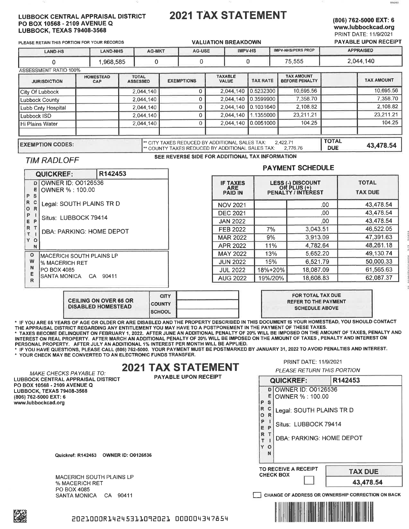#### **LUBBOCK CENTRAL APPRAISAL DISTRICT** PO BOX 10568 - 2109 AVENUE Q **LUBBOCK, TEXAS**

# **2021 TAX STATEMENT**

#### (806) 762-5000 EXT: 6 www.lubbockcad.org **PRINT DATE: 11/9/2021 PAYABLE UPON RECEIPT**

**R142483** 

PLEASE RETAIN THIS POR

**VALUATION BREAKDOWN IMPV-NHS/PERS PROP** APPRAISED AG-USE **IMPV-HS** LAND-HS **LAND-NHS AG-MK** 2.044.140  $\Omega$ 1.968.585  $\overline{0}$  $\cap$ 75,555  $\Omega$ ASSESSMENT RATIO 100% **TAX AMOUNT** TAXABLE **HOMESTEAD TOTAL** EXEMPTIONS **TAX AMOUNT ILIPISDICTION**  $CAD$ TAX RATE **BEFORE PENALTY** ASSESSED VALUE

|                         | $- \cdot \cdot$ |                                                                                                                |  |                       |            |              |           |
|-------------------------|-----------------|----------------------------------------------------------------------------------------------------------------|--|-----------------------|------------|--------------|-----------|
| City Of Lubbock         |                 | 2.044.140                                                                                                      |  | 2.044,140   0.5232300 | 10,695.56  |              | 10.695.56 |
| <b>Lubbock County</b>   |                 | 2.044.140                                                                                                      |  | 2.044.140 0.3599900   | 7,358.70   |              | 7.358.70  |
| Lubb Cnty Hospital      |                 | 2.044.140                                                                                                      |  | 2.044,140 0.1031640   | 2.108.82   |              | 2.108.82  |
| Lubbock ISD             |                 | 2.044.140                                                                                                      |  | 2.044.140 1.1355000   | 23,211,21  |              | 23.211.21 |
| <b>Hi Plains Water</b>  |                 | 2,044,140                                                                                                      |  | 2.044.140 0.0051000   | 104.25     |              | 104.25    |
|                         |                 |                                                                                                                |  |                       |            | <b>TOTAL</b> |           |
| <b>EXEMPTION CODES:</b> |                 | ** CITY TAXES REDUCED BY ADDITIONAL SALES TAX:<br><sup>1**</sup> COUNTY TAXES REDUCED BY ADDITIONAL SALES TAX: |  | 2.422.71<br>2.776.76  | <b>DUE</b> | 43,478.54    |           |

## **TIM RADLOFF**

#### SEE REVERSE SIDE FOR ADDITIONAL TAX INFORMATION

|                                                                                |                     |                                                 |         | <b>PAYMENT SCHEDULE</b>                                       |                                |
|--------------------------------------------------------------------------------|---------------------|-------------------------------------------------|---------|---------------------------------------------------------------|--------------------------------|
| QUICKREF:<br>OWNER ID: 00126536<br>D<br>E<br>OWNER % : 100.00<br>P<br><b>S</b> | R <sub>142453</sub> | <b>IF TAXES</b><br><b>ARE</b><br><b>PAID IN</b> |         | <b>LESS (-) DISCOUNT</b><br>OR PLUS (+)<br>PENALTY / INTEREST | <b>TOTAL</b><br><b>TAX DUE</b> |
| R<br>c<br>Legal: SOUTH PLAINS TR D<br>$\mathbb{R}$<br>$\circ$                  |                     | <b>NOV 2021</b>                                 |         | .00                                                           | 43.478.54                      |
| P                                                                              |                     | <b>DEC 2021</b>                                 |         | .00                                                           | 43.478.54                      |
| Situs: LUBBOCK 79414<br>$\mathsf{P}$<br>E.                                     |                     | <b>JAN 2022</b>                                 |         | .00                                                           | 43,478.54                      |
| R<br>DBA: PARKING: HOME DEPOT                                                  |                     | FEB 2022                                        | 7%      | 3,043.51                                                      | 46,522.05                      |
| T.<br>Y<br>$\circ$                                                             |                     | <b>MAR 2022</b>                                 | 9%      | 3,913.09                                                      | 47,391.63                      |
| N                                                                              |                     | APR 2022                                        | 11%     | 4.782.64                                                      | 48.261.18                      |
| $\circ$<br>IMACERICH SOUTH PLAINS LP                                           |                     | <b>MAY 2022</b>                                 | 13%     | 5.652.20                                                      | 49.130.74                      |
| w<br><b>% MACERICH RET</b>                                                     |                     | <b>JUN 2022</b>                                 | 15%     | 6,521.79                                                      | 50,000.33                      |
| N<br>PO BOX 4085<br>SANTA MONICA<br>R                                          |                     | <b>JUL 2022</b>                                 | 18%+20% | 18,087.09                                                     | 61.565.63                      |
|                                                                                | CA 90411            | <b>AUG 2022</b>                                 | 19%/20% | 18,608.83                                                     | 62.087.37                      |
|                                                                                | <b>CITY</b>         |                                                 |         | <b>FOR TOTAL TAX DUE</b>                                      |                                |

|                                                           | <b>CITY</b>   | FOR TOTAL TAX DUE                                    |
|-----------------------------------------------------------|---------------|------------------------------------------------------|
| <b>CEILING ON OVER 65 OR</b><br><b>DISABLED HOMESTEAD</b> | <b>COUNTY</b> | <b>REFER TO THE PAYMENT</b><br><b>SCHEDULE ABOVE</b> |
|                                                           | <b>SCHOOL</b> |                                                      |

\* IF YOU ARE 65 YEARS OF AGE OR OLDER OR ARE DISABLED AND THE PROPERTY DESCRIBED IN THIS DOCUMENT IS YOUR HOMESTEAD, YOU SHOULD CONTACT THE APPRAISAL DISTRICT REGARDING ANY ENTITLEMENT YOU MAY HAVE TO A POSTPONEMENT IN THE PAYMENT OF THESE TAXES.

\* TAXES BECOME DELINQUENT ON FEBRUARY 1, 2022. AFTER JUNE AN ADDITIONAL PENALTY OF 20% WILL BE IMPOSED ON THE AMOUNT OF TAXES, PENALTY AND INTEREST ON REAL PROPERTY. AFTER MARCH AN ADDITIONAL PENALTY OF 20% WILL BE IMPOSED ON THE AMOUNT OF TAXES, PENALTY AND INTEREST ON PERSONAL PROPERTY. AFTER JULY AN ADDITIONAL 1% INTEREST PER MONTH WILL BE APPLIED.

IF YOU HAVE QUESTIONS, PLEASE CALL (806) 762-5000. YOUR PAYMENT MUST BE POSTMARKED BY JANUARY 31, 2022 TO AVOID PENALTIES AND INTEREST. \* YOUR CHECK MAY BE CONVERTED TO AN ELECTRONIC FUNDS TRANSFER.

# **2021 TAX STATEMENT**

MAKE CHECKS PAYABLE TO: LUBBOCK CENTRAL APPRAISAL DISTRICT PO BOX 10568 - 2109 AVENUE Q LUBBOCK, TEXAS 79408-3568 (806) 762-5000 EXT: 6 www.lubbockcad.org

**PAYABLE UPON RECEIPT** 

PRINT DATE: 11/9/2021

PLEASE RETURN THIS PORTION

**QUICKREF:** R142453 D OWNER ID: 00126536 E OWNER %: 100.00 P S R  $\mathbf{C}$ Legal: SOUTH PLAINS TR D  $\circ$  $R$ P  $\mathbf{I}$ Situs: LUBBOCK 79414 E P  $\mathbb{R}$ ா DBA: PARKING: HOME DEPOT T  $\overline{\phantom{a}}$ Y  $\circ$ N TO RECEIVE A RECEIPT **TAX DUE CHECK BOX** 43,478.54 CHANGE OF ADDRESS OR OWNERSHIP CORRECTION ON BACK



**MACERICH SOUTH PLAINS LP** % MACERICH RET PO BOX 4085 SANTA MONICA CA 90411



2021000R14245311092021 000004347854



| S 79408-3568 |                               |        |  |
|--------------|-------------------------------|--------|--|
|              | <b>RTION FOR YOUR RECORDS</b> |        |  |
|              | <b>I AND NUC</b>              | AC MKT |  |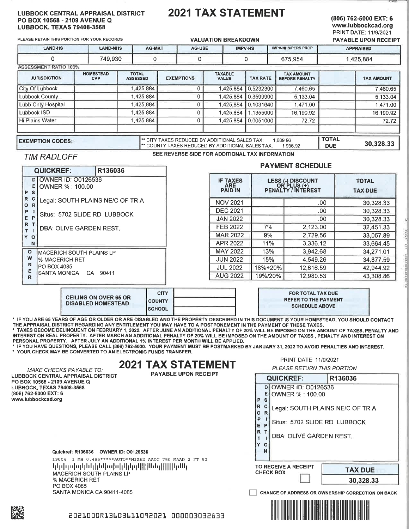#### **LUBBOCK CENTRAL APPRAISAL DISTRICT** PO BOX 10568 - 2109 AVENUE Q **LUBBOCK, TEXAS 79408-3568**

# **2021 TAX STATEMENT**

#### (806) 762-5000 EXT: 6 www.lubbockcad.org PRINT DATE: 11/9/2021

30,328.33

PLEASE RETAIN THIS PORTION FOR YOUR RECORDS **VALUATION BREAKDOWN PAYABLE UPON RECEIPT LAND-HS I AND-NHS** AG-MKT **AGJISE IMPV-HS IMPV-NHS/PERS PROP APPRAISED**  $\overline{0}$ 749.930  $\overline{0}$  $\overline{0}$  $\Omega$ 675.954 1,425,884 **ASSESSMENT RATIO 100%** TOTAL<br>ASSESSED **HOMESTEAD TAXABLE TAX AMOUNT JURISDICTION EXEMPTIONS TAX RATE TAX AMOUNT** BEFORE PENAL TY CAP VALUE **City Of Lubbock** 1,425,884  $\overline{0}$ 1,425,884 0.5232300 7.460.65 7,460.65 **Lubbock County** 1,425,884  $\pmb{0}$ 0.3599900 1,425,884 5,133.04 5,133.04 Lubb Cnty Hospital 1,425,884  $\overline{0}$ 1,425,884 0.1031640 1,471.00 1,471.00 Lubbock ISD 1,425,884  $\bf 0$ 16,190.92 1,425,884 1.1355000 16,190.92 **Hi Plains Water** 1,425,884  $\overline{0}$ 1,425,884 0.0051000  $72.72$ 72.72

\*\* CITY TAXES REDUCED BY ADDITIONAL SALES TAX:

\*\* COUNTY TAXES REDUCED BY ADDITIONAL SALES TAX:

## **EXEMPTION CODES:**

SEE REVERSE SIDE FOR ADDITIONAL TAX INFORMATION

# **TIM RADLOFF**

### **PAYMENT SCHEDULE**

1,936,92

1,689.96

**TOTAL** 

**DUE** 

|                                  | <b>QUICKREF:</b>                                | R136036 | <b>PAYMENI SCHEDULE</b> |                                                 |         |                                                        |                                |
|----------------------------------|-------------------------------------------------|---------|-------------------------|-------------------------------------------------|---------|--------------------------------------------------------|--------------------------------|
| ε<br>P<br>s                      | <b>DIOWNER ID: 00126536</b><br>OWNER % : 100.00 |         |                         | <b>IF TAXES</b><br><b>ARE</b><br><b>PAID IN</b> |         | LESS (-) DISCOUNT<br>OR PLUS (+)<br>PENALTY / INTEREST | <b>TOTAL</b><br><b>TAX DUE</b> |
| R<br>$\mathbf c$<br>R<br>$\circ$ | Legal: SOUTH PLAINS NE/C OF TR A                |         |                         | <b>NOV 2021</b>                                 |         | .00                                                    | 30,328.33                      |
| P                                |                                                 |         |                         | <b>DEC 2021</b>                                 |         | .00                                                    | 30,328.33                      |
| E.                               | Situs: 5702 SLIDE RD LUBBOCK<br>P               |         |                         | <b>JAN 2022</b>                                 |         | .00                                                    | 30,328.33                      |
| $\mathsf{R}$                     | DBA: OLIVE GARDEN REST.                         |         |                         | FEB 2022                                        | 7%      | 2,123.00                                               | 32,451.33                      |
| Y O                              |                                                 |         |                         | <b>MAR 2022</b>                                 | 9%      | 2.729.56                                               | 33,057.89                      |
| N                                |                                                 |         |                         | APR 2022                                        | 11%     | 3,336.12                                               | 33.664.45                      |
| $\circ$                          | IMACERICH SOUTH PLAINS LP                       |         |                         | <b>MAY 2022</b>                                 | 13%     | 3.942.68                                               | 34,271.01                      |
| W                                | % MACERICH RET                                  |         |                         | <b>JUN 2022</b>                                 | 15%     | 4.549.26                                               | 34,877.59                      |
|                                  | N<br>IPO BOX 4085                               |         |                         | <b>JUL 2022</b>                                 | 18%+20% | 12.616.59                                              | 42.944.92                      |
| R                                | ISANTA MONICA<br>CA 90411                       |         |                         | <b>AUG 2022</b>                                 | 19%/20% | 12.980.53                                              | 43,308.86                      |
|                                  |                                                 |         |                         |                                                 |         |                                                        |                                |

| <b>CEILING ON OVER 65 OR</b><br><b>DISABLED HOMESTEAD</b> | <b>CITY</b>    | FOR TOTAL TAX DUE           |
|-----------------------------------------------------------|----------------|-----------------------------|
|                                                           | <b>COUNTY</b>  | <b>REFER TO THE PAYMENT</b> |
|                                                           | <b>ISCHOOL</b> | <b>SCHEDULE ABOVE</b>       |

\* IF YOU ARE 65 YEARS OF AGE OR OLDER OR ARE DISABLED AND THE PROPERTY DESCRIBED IN THIS DOCUMENT IS YOUR HOMESTEAD, YOU SHOULD CONTACT THE APPRAISAL DISTRICT REGARDING ANY ENTITLEMENT YOU MAY HAVE TO A POSTPONEMENT IN THE PAYMENT OF THESE TAXES. TAXES BECOME DELINQUENT ON FEBRUARY 1, 2022. AFTER JUNE AN ADDITIONAL PENALTY OF 20% WILL BE IMPOSED ON THE AMOUNT OF TAXES, PENALTY AND

INTEREST ON REAL PROPERTY. AFTER MARCH AN ADDITIONAL PENALTY OF 20% WILL BE IMPOSED ON THE AMOUNT OF TAXES , PENALTY AND INTEREST ON PERSONAL PROPERTY. AFTER JULY AN ADDITIONAL 1% INTEREST PER MONTH WILL BE APPLIED.

IF YOU HAVE QUESTIONS, PLEASE CALL (806) 762-5000. YOUR PAYMENT MUST BE POSTMARKED BY JANUARY 31, 2022 TO AVOID PENALTIES AND INTEREST. \* YOUR CHECK MAY BE CONVERTED TO AN ELECTRONIC FUNDS TRANSFER.

#### PRINT DATE: 11/9/2021 **2021 TAX STATEMENT** PLEASE RETURN THIS PORTION **PAYABLE UPON RECEIPT QUICKREF:** R136036 D OWNER ID: 00126536 E OWNER % : 100.00 P S R C Legal: SOUTH PLAINS NE/C OF TR A O<sub>R</sub> P  $\overline{\phantom{a}}$ Situs: 5702 SLIDE RD LUBBOCK E P R T DBA: OLIVE GARDEN REST.  $T$  $\blacksquare$ Y O N TO RECEIVE A RECEIPT **TAX DUE CHECK BOX** 30,328.33 CHANGE OF ADDRESS OR OWNERSHIP CORRECTION ON BACK

MAKE CHECKS PAYABLE TO: **LUBBOCK CENTRAL APPRAISAL DISTRICT** PO BOX 10568 - 2109 AVENUE Q LUBBOCK, TEXAS 79408-3568 (806) 762-5000 EXT: 6 www.lubbockcad.org

Quickref: R136036 OWNER ID: 00126536

19004 1 MB 0.485\*\*\*\*\*AUTO\*\*MIXED AADC 750 MAAD 2 FT 50 կկվորվորինկինկախկիկով[[[[Անզ[[[[[կմեկ MACERICH SOUTH PLAINS LP % MACERICH RET PO BOX 4085 SANTA MONICA CA 90411-4085

2021000R13603611092021 000003032833



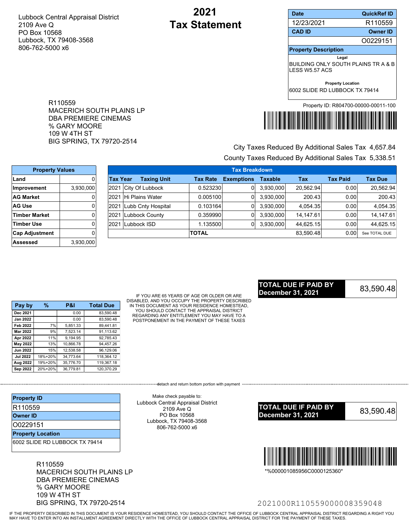R110559

% GARY MOORE 109 W 4TH ST

MACERICH SOUTH PLAINS LP DBA PREMIERE CINEMAS

BIG SPRING, TX 79720-2514

# **2021 Tax Statement**

| <b>Date</b>                                                            | QuickRef ID                          |  |  |
|------------------------------------------------------------------------|--------------------------------------|--|--|
| 12/23/2021                                                             | R110559                              |  |  |
| <b>CAD ID</b>                                                          | <b>Owner ID</b>                      |  |  |
|                                                                        | O0229151                             |  |  |
| <b>Property Description</b>                                            |                                      |  |  |
| Legal<br>BUILDING ONLY SOUTH PLAINS TR A & B<br><b>I FSS W5 57 ACS</b> |                                      |  |  |
| <b>Property Location</b><br>6002 SLIDE RD LUBBOCK TX 79414             |                                      |  |  |
|                                                                        | Property ID: R804700-00000-00011-100 |  |  |



# County Taxes Reduced By Additional Sales Tax 5,338.51 City Taxes Reduced By Additional Sales Tax 4,657.84

| <b>Property Values</b> |           |                 | <b>Tax Breakdown</b> |                 |                   |                |           |                   |                |
|------------------------|-----------|-----------------|----------------------|-----------------|-------------------|----------------|-----------|-------------------|----------------|
| Land                   |           | <b>Tax Year</b> | <b>Taxing Unit</b>   | <b>Tax Rate</b> | <b>Exemptions</b> | <b>Taxable</b> | Tax       | <b>Tax Paid</b>   | <b>Tax Due</b> |
| <b>Improvement</b>     | 3,930,000 |                 | 2021 City Of Lubbock | 0.523230        | 01                | 3,930,000      | 20.562.94 | 0.001             | 20,562.94      |
| <b>AG Market</b>       |           | 2021            | Hi Plains Water      | 0.005100        | 01                | 3,930,000      | 200.43    | 0.00              | 200.43         |
| <b>AG Use</b>          |           | 2021            | Lubb Cnty Hospital   | 0.103164        | 01                | 3,930,000      | 4.054.35  | 0.00              | 4,054.35       |
| Timber Market          |           | 2021            | Lubbock County       | 0.359990        | 01                | 3,930,000      | 14.147.61 | 0.00              | 14, 147.61     |
| Timber Use             |           | 2021            | Lubbock ISD          | .135500         | 01                | 3,930,000      | 44,625.15 | 0.00 <sub>1</sub> | 44,625.15      |
| <b>Cap Adjustment</b>  |           |                 |                      | <b>TOTAL</b>    |                   |                | 83.590.48 | 0.00              | See TOTAL DUE  |
| Assessed               | 3,930,000 |                 |                      |                 |                   |                |           |                   |                |

| Pay by          | %       | <b>P&amp;I</b> | <b>Total Due</b> |
|-----------------|---------|----------------|------------------|
| Dec 2021        |         | 0.00           | 83,590.48        |
| <b>Jan 2022</b> |         | 0.00           | 83.590.48        |
| <b>Feb 2022</b> | 7%      | 5.851.33       | 89.441.81        |
| <b>Mar 2022</b> | 9%      | 7.523.14       | 91.113.62        |
| Apr 2022        | 11%     | 9.194.95       | 92,785.43        |
| May 2022        | 13%     | 10.866.78      | 94.457.26        |
| <b>Jun 2022</b> | 15%     | 12,538.58      | 96,129.06        |
| <b>Jul 2022</b> | 18%+20% | 34.773.64      | 118.364.12       |
| Aug 2022        | 19%+20% | 35.776.70      | 119.367.18       |
| Sep 2022        | 20%+20% | 36.779.81      | 120.370.29       |

IF YOU ARE 65 YEARS OF AGE OR OLDER OR ARE DISABLED, AND YOU OCCUPY THE PROPERTY DESCRIBED IN THIS DOCUMENT AS YOUR RESIDENCE HOMESTEAD, YOU SHOULD CONTACT THE APPRAISAL DISTRICT REGARDING ANY ENTITLEMENT YOU MAY HAVE TO A POSTPONEMENT IN THE PAYMENT OF THESE TAXES

## 83,590.48 **TOTAL DUE IF PAID BY December 31, 2021**

| <b>Property ID</b>             |
|--------------------------------|
| R110559                        |
| <b>Owner ID</b>                |
| 00229151                       |
| <b>Property Location</b>       |
| 6002 SLIDE RD LUBBOCK TX 79414 |

R110559 MACERICH SOUTH PLAINS LP DBA PREMIERE CINEMAS % GARY MOORE 109 W 4TH ST BIG SPRING, TX 79720-2514

Make check payable to: Lubbock Central Appraisal District 2109 Ave Q PO Box 10568 Lubbock, TX 79408-3568 806-762-5000 x6

---------detach and return bottom portion with payment ----





\*%000001085956C0000125360\*

## 2021000R110559000008359048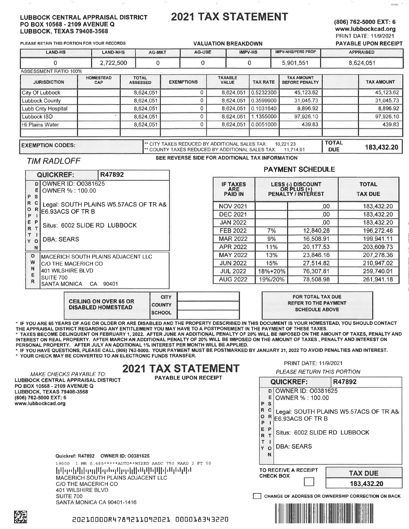#### **LUBBOCK CENTRAL APPRAISAL DISTRICT** PO BOX 10568 - 2109 AVENUE Q **LUBBOCK, TEXAS 79408-3568**

# **2021 TAX STATEMENT**

## (806) 762-5000 EXT: 6 www.lubbockcad.org PRINT DATE: 11/9/2021

R47892

PLEASE RETAIN THIS PORTION FOR YOUR RECORDS

#### **VALUATION BREAKDOWN** PAYABLE UPON RECEIPT **IMPV-NHS/PERS PROP APPRAISED LAND-HS LAND-NHS AG-MKT** AG-USF **IMPV-HS**  $\overline{0}$ 2,722,500  $\overline{0}$  $\mathsf 0$ 0 5,901,551 8,624,051 **ASSESSMENT RATIO 100% HOMESTEAD TOTAL** TAXABLE **TAX AMOUNT EXEMPTIONS JURISDICTION** ASSESSED **TAX RATE BEFORE PENALTY TAX AMOUNT** CAP **VALUE** 8,624,051  $\overline{0}$ 8,624,051 0.5232300 45.123.62 45,123.62 City Of Lubbock 8,624,051  $\pmb{0}$ 8,624,051 0.3599900 31,045.73 31,045.73 **Lubbock County**  $\overline{0}$ 8,624,051 8,624,051 0.1031640 8,896.92 8,896.92 Lubb Cnty Hospital Lubbock ISD 8,624,051  $\mathbf 0$ 8,624,051 1.1355000 97,926.10 97,926.10 8,624,051  $\overline{0}$ 8,624,051 0.0051000 439.83 439.83 Hi Plains Water **TOTAL** \*\* CITY TAXES REDUCED BY ADDITIONAL SALES TAX: **EXEMPTION CODES:** 10,221.23 183,432.20 \*\* COUNTY TAXES REDUCED BY ADDITIONAL SALES TAX: 11,714.91 **DUE**

## **TIM RADLOFF**

#### SEE REVERSE SIDE FOR ADDITIONAL TAX INFORMATION

|                | <b>QUICKREF:</b>                                 | R47892                                |                 |                               |         | <b>PAYMENT SCHEDULE</b>                                       |                                |
|----------------|--------------------------------------------------|---------------------------------------|-----------------|-------------------------------|---------|---------------------------------------------------------------|--------------------------------|
| Е.<br>P<br>S   | <b>DI OWNER ID: 00381625</b><br>OWNER % : 100.00 |                                       | <b>PAID IN</b>  | <b>IF TAXES</b><br><b>ARE</b> |         | LESS (-) DISCOUNT<br>OR PLUS (+)<br><b>PENALTY / INTEREST</b> | <b>TOTAL</b><br><b>TAX DUE</b> |
| R.<br>o        |                                                  | Legal: SOUTH PLAINS W5.57ACS OF TR A& | <b>NOV 2021</b> |                               |         | .00                                                           | 183,432.20                     |
| P              | IE6.93ACS OF TR B                                |                                       | <b>DEC 2021</b> |                               |         | .00                                                           | 183.432.20                     |
| E.             | Situs: 6002 SLIDE RD LUBBOCK                     |                                       | <b>JAN 2022</b> |                               |         | .00                                                           | 183,432.20                     |
| R              |                                                  |                                       | <b>FEB 2022</b> |                               | 7%      | 12.840.28                                                     | 196,272.48                     |
| Y.<br>$\Omega$ | <b>DBA: SEARS</b>                                |                                       | <b>MAR 2022</b> |                               | 9%      | 16,508.91                                                     | 199,941.11                     |
| N              |                                                  |                                       | APR 2022        |                               | 11%     | 20,177.53                                                     | 203,609.73                     |
| $\circ$        |                                                  | MACERICH SOUTH PLAINS ADJACENT LLC    | <b>MAY 2022</b> |                               | 13%     | 23.846.16                                                     | 207,278.36                     |
| W              | C/O THE MACERICH CO                              |                                       | <b>JUN 2022</b> |                               | 15%     | 27,514.82                                                     | 210,947.02                     |
| N              | 401 WILSHIRE BLVD                                |                                       | <b>JUL 2022</b> |                               | 18%+20% | 76,307.81                                                     | 259.740.01                     |
| R              | SUITE 700                                        |                                       | <b>AUG 2022</b> |                               | 19%/20% | 78,508.98                                                     | 261,941.18                     |
|                | SANTA MONICA CA 90401                            | <b>OITY</b>                           |                 |                               |         | <b>COD TOTAL TAY DUE</b>                                      |                                |

|                                                           | <b>CITY</b>     |  |
|-----------------------------------------------------------|-----------------|--|
| <b>CEILING ON OVER 65 OR</b><br><b>DISABLED HOMESTEAD</b> | <b>I COUNTY</b> |  |
|                                                           | <b>ISCHOOL</b>  |  |

\* IF YOU ARE 65 YEARS OF AGE OR OLDER OR ARE DISABLED AND THE PROPERTY DESCRIBED IN THIS DOCUMENT IS YOUR HOMESTEAD, YOU SHOULD CONTACT THE APPRAISAL DISTRICT REGARDING ANY ENTITLEMENT YOU MAY HAVE TO A POSTPONEMENT IN THE PAYMENT OF THESE TAXES.

TAXES BECOME DELINQUENT ON FEBRUARY 1, 2022. AFTER JUNE AN ADDITIONAL PENALTY OF 20% WILL BE IMPOSED ON THE AMOUNT OF TAXES, PENALTY AND INTEREST ON REAL PROPERTY. AFTER MARCH AN ADDITIONAL PENALTY OF 20% WILL BE IMPOSED ON THE AMOUNT OF TAXES, PENALTY AND INTEREST ON PERSONAL PROPERTY. AFTER JULY AN ADDITIONAL 1% INTEREST PER MONTH WILL BE APPLIED.

\* IF YOU HAVE QUESTIONS, PLEASE CALL (806) 762-5000. YOUR PAYMENT MUST BE POSTMARKED BY JANUARY 31, 2022 TO AVOID PENALTIES AND INTEREST. \* YOUR CHECK MAY BE CONVERTED TO AN ELECTRONIC FUNDS TRANSFER.

# **2021 TAX STATEMENT**

**MAKE CHECKS PAYABLE TO:** LUBBOCK CENTRAL APPRAISAL DISTRICT PO BOX 10568 - 2109 AVENUE Q LUBBOCK, TEXAS 79408-3568 (806) 762-5000 EXT: 6 www.lubbockcad.org

**PAYABLE UPON RECEIPT** 

Quickref: R47892 OWNER ID: 00381625

19000 1 MB 0.485\*\*\*\*\*AUTO\*\*MIXED AADC 750 MAAD 2 FT 50 կվորվվկիզգլվկցմոլվըթկվիմկվկվվիկմկնվվմ MACERICH SOUTH PLAINS ADJACENT LLC C/O THE MACERICH CO 401 WILSHIRE BLVD SUITE 700 SANTA MONICA CA 90401-1416

| P            | Е<br>S      | OWNER % : 100.00                                          |
|--------------|-------------|-----------------------------------------------------------|
| R<br>$\circ$ | $\mathbf C$ | Legal: SOUTH PLAINS W5.57ACS OF TR A8<br>E6.93ACS OF TR B |
| E<br>R       | P           | Situs: 6002 SLIDE RD LUBBOCK                              |
|              | О<br>N      | <b>DBA: SEARS</b>                                         |
|              |             | TO RECEIVE A RECEIPT<br><b>TAX DUE</b>                    |
|              |             | <b>CHECK BOX</b><br>183.432.20                            |

R47892

**REFER TO THE PAYMENT SCHEDULE ABOVE** 

PRINT DATE: 11/9/2021

**QUICKREF:** 

D OWNER ID: 00381625

PLEASE RETURN THIS PORTION

CHANGE OF ADDRESS OR OWNERSHIP CORRECTION ON BACK



20210000R4789211092021 000018343220

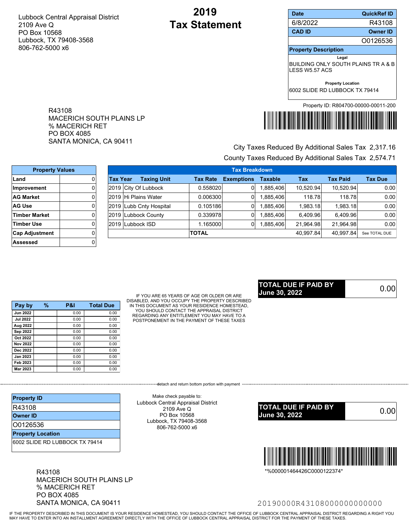R43108

MACERICH SOUTH PLAINS LP

SANTA MONICA, CA 90411

% MACERICH RET PO BOX 4085

# **2019 Tax Statement**

| <b>Date</b>                                                   | <b>QuickRef ID</b>                   |  |  |  |
|---------------------------------------------------------------|--------------------------------------|--|--|--|
| 6/8/2022                                                      | R43108                               |  |  |  |
| <b>CAD ID</b>                                                 | <b>Owner ID</b>                      |  |  |  |
|                                                               | O0126536                             |  |  |  |
| <b>Property Description</b>                                   |                                      |  |  |  |
| Legal                                                         |                                      |  |  |  |
| BUILDING ONLY SOUTH PLAINS TR A & B<br><b>I FSS W5 57 ACS</b> |                                      |  |  |  |
| <b>Property Location</b>                                      |                                      |  |  |  |
| 6002 SLIDE RD LUBBOCK TX 79414                                |                                      |  |  |  |
|                                                               | Property ID: R804700-00000-00011-200 |  |  |  |



# County Taxes Reduced By Additional Sales Tax 2,574.71 City Taxes Reduced By Additional Sales Tax 2,317.16

| <b>Property Values</b> |  |                 | <b>Tax Breakdown</b> |                         |                 |                   |                |           |                 |                |
|------------------------|--|-----------------|----------------------|-------------------------|-----------------|-------------------|----------------|-----------|-----------------|----------------|
| Land                   |  | <b>Tax Year</b> |                      | <b>Taxing Unit</b>      | <b>Tax Rate</b> | <b>Exemptions</b> | <b>Taxable</b> | Tax       | <b>Tax Paid</b> | <b>Tax Due</b> |
| Improvement            |  |                 |                      | 2019 City Of Lubbock    | 0.558020        | 01                | ,885,406       | 10.520.94 | 10,520.94       | 0.00           |
| <b>AG Market</b>       |  |                 |                      | 2019 Hi Plains Water    | 0.006300        | 01                | 885,406.       | 118.78    | 118.78          | 0.00           |
| <b>AG Use</b>          |  |                 |                      | 2019 Lubb Cnty Hospital | 0.105186        | 01                | 885,406.       | 1.983.18  | 1.983.18        | 0.00           |
| <b>Timber Market</b>   |  |                 |                      | 2019 Lubbock County     | 0.339978        |                   | 885,406.       | 6,409.96  | 6.409.96        | 0.00           |
| <b>Timber Use</b>      |  |                 |                      | 2019 Lubbock ISD        | .165000         |                   | ,885,406       | 21.964.98 | 21.964.98       | 0.00           |
| <b>Cap Adjustment</b>  |  |                 |                      |                         | <b>TOTAL</b>    |                   |                | 40.997.84 | 40.997.84       | See TOTAL DUE  |
| Assessed               |  |                 |                      |                         |                 |                   |                |           |                 |                |

| Pay by          | % | P&I  | <b>Total Due</b> |
|-----------------|---|------|------------------|
| <b>Jun 2022</b> |   | 0.00 | 0.00             |
| <b>Jul 2022</b> |   | 0.00 | 0.00             |
| Aug 2022        |   | 0.00 | 0.00             |
| Sep 2022        |   | 0.00 | 0.00             |
| Oct 2022        |   | 0.00 | 0.00             |
| <b>Nov 2022</b> |   | 0.00 | 0.00             |
| Dec 2022        |   | 0.00 | 0.00             |
| <b>Jan 2023</b> |   | 0.00 | 0.00             |
| Feb 2023        |   | 0.00 | 0.00             |
| Mar 2023        |   | 0.00 | 0.00             |

IF YOU ARE 65 YEARS OF AGE OR OLDER OR ARE DISABLED, AND YOU OCCUPY THE PROPERTY DESCRIBED IN THIS DOCUMENT AS YOUR RESIDENCE HOMESTEAD, YOU SHOULD CONTACT THE APPRAISAL DISTRICT REGARDING ANY ENTITLEMENT YOU MAY HAVE TO A POSTPONEMENT IN THE PAYMENT OF THESE TAXES

---------detach and return bottom portion with payment ----

### 0.00 **TOTAL DUE IF PAID BY June 30, 2022**

| <b>Property ID</b>             |
|--------------------------------|
| R43108                         |
| <b>Owner ID</b>                |
| 00126536                       |
| <b>Property Location</b>       |
| 6002 SLIDE RD LUBBOCK TX 79414 |

R43108 MACERICH SOUTH PLAINS LP % MACERICH RET PO BOX 4085 SANTA MONICA, CA 90411

Make check payable to: Lubbock Central Appraisal District 2109 Ave Q PO Box 10568 Lubbock, TX 79408-3568 806-762-5000 x6





\*%000001464426C0000122374\*

## 20190000R43108000000000000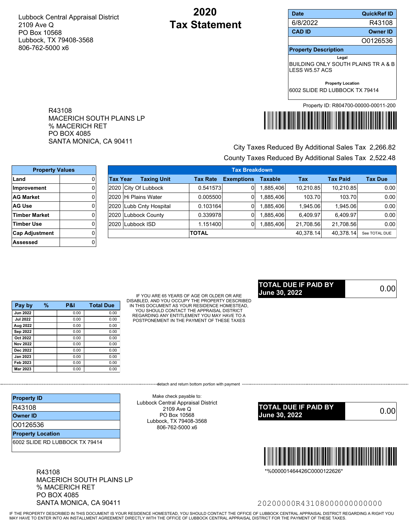R43108

MACERICH SOUTH PLAINS LP

SANTA MONICA, CA 90411

% MACERICH RET PO BOX 4085

# **2020 Tax Statement**

| <b>Date</b>                    | <b>QuickRef ID</b>                   |
|--------------------------------|--------------------------------------|
| 6/8/2022                       | R43108                               |
| <b>CAD ID</b>                  | <b>Owner ID</b>                      |
|                                | O0126536                             |
| <b>Property Description</b>    |                                      |
|                                | Legal                                |
| <b>I FSS W5 57 ACS</b>         | BUILDING ONLY SOUTH PLAINS TR A & B  |
|                                | <b>Property Location</b>             |
| 6002 SLIDE RD LUBBOCK TX 79414 |                                      |
|                                | Property ID: R804700-00000-00011-200 |



# County Taxes Reduced By Additional Sales Tax 2,522.48 City Taxes Reduced By Additional Sales Tax 2,266.82

| <b>Property Values</b> |                 | <b>Tax Breakdown</b>    |                 |                   |                |           |                 |                |
|------------------------|-----------------|-------------------------|-----------------|-------------------|----------------|-----------|-----------------|----------------|
| Land                   | <b>Tax Year</b> | <b>Taxing Unit</b>      | <b>Tax Rate</b> | <b>Exemptions</b> | <b>Taxable</b> | Tax       | <b>Tax Paid</b> | <b>Tax Due</b> |
| ∣Improvement           |                 | 2020 City Of Lubbock    | 0.541573        | 0                 | ,885,406       | 10.210.85 | 10.210.85       | 0.00           |
| <b>AG Market</b>       |                 | 2020 Hi Plains Water    | 0.005500        | $\Omega$          | ,885,406       | 103.70    | 103.70          | 0.00           |
| <b>AG Use</b>          |                 | 2020 Lubb Cnty Hospital | 0.103164        |                   | 885,406        | 1.945.06  | 1.945.06        | 0.00           |
| <b>Timber Market</b>   |                 | 2020 Lubbock County     | 0.339978        |                   | ,885,406       | 6.409.97  | 6.409.97        | 0.00           |
| <b>Timber Use</b>      |                 | 2020 Lubbock ISD        | 1.151400        |                   | ,885,406       | 21,708.56 | 21.708.56       | 0.00           |
| <b>Cap Adjustment</b>  |                 |                         | <b>TOTAL</b>    |                   |                | 40,378.14 | 40.378.14       | See TOTAL DUE  |
| Assessed               |                 |                         |                 |                   |                |           |                 |                |

| Pay by          | % | P&I  | <b>Total Due</b> |
|-----------------|---|------|------------------|
| <b>Jun 2022</b> |   | 0.00 | 0.00             |
| <b>Jul 2022</b> |   | 0.00 | 0.00             |
| Aug 2022        |   | 0.00 | 0.00             |
| Sep 2022        |   | 0.00 | 0.00             |
| Oct 2022        |   | 0.00 | 0.00             |
| <b>Nov 2022</b> |   | 0.00 | 0.00             |
| Dec 2022        |   | 0.00 | 0.00             |
| <b>Jan 2023</b> |   | 0.00 | 0.00             |
| Feb 2023        |   | 0.00 | 0.00             |
| Mar 2023        |   | 0.00 | 0.00             |

IF YOU ARE 65 YEARS OF AGE OR OLDER OR ARE DISABLED, AND YOU OCCUPY THE PROPERTY DESCRIBED IN THIS DOCUMENT AS YOUR RESIDENCE HOMESTEAD, YOU SHOULD CONTACT THE APPRAISAL DISTRICT REGARDING ANY ENTITLEMENT YOU MAY HAVE TO A POSTPONEMENT IN THE PAYMENT OF THESE TAXES

--------detach and return bottom portion with payment ----

Make check payable to: Lubbock Central Appraisal District 2109 Ave Q PO Box 10568 Lubbock, TX 79408-3568 806-762-5000 x6

### 0.00 **TOTAL DUE IF PAID BY June 30, 2022**

**June 30, 2022**

| <b>Property ID</b>             |
|--------------------------------|
| R43108                         |
| <b>Owner ID</b>                |
| 00126536                       |
| <b>Property Location</b>       |
| 6002 SLIDE RD LUBBOCK TX 79414 |

R43108 MACERICH SOUTH PLAINS LP % MACERICH RET PO BOX 4085 SANTA MONICA, CA 90411

## 20200000R43108000000000000

\*%000001464426C0000122626\*

0.00 **TOTAL DUE IF PAID BY**

<u> Tanzania (h. 1888).</u>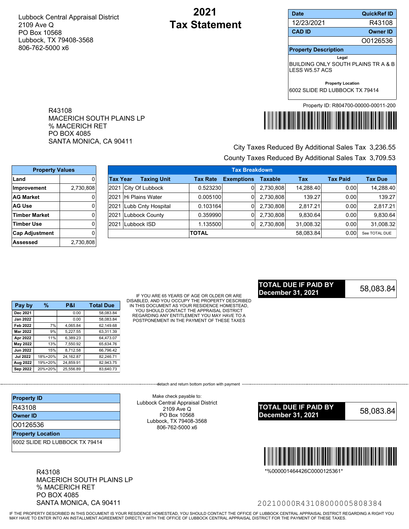R43108

MACERICH SOUTH PLAINS LP

SANTA MONICA, CA 90411

% MACERICH RET PO BOX 4085

# **2021 Tax Statement**

| <b>Date</b>                                                            | <b>QuickRef ID</b>                   |  |  |
|------------------------------------------------------------------------|--------------------------------------|--|--|
| 12/23/2021                                                             | R43108                               |  |  |
| <b>CAD ID</b>                                                          | <b>Owner ID</b>                      |  |  |
|                                                                        | O0126536                             |  |  |
| <b>Property Description</b>                                            |                                      |  |  |
| Legal<br>BUILDING ONLY SOUTH PLAINS TR A & B<br><b>I FSS W5 57 ACS</b> |                                      |  |  |
| 6002 SLIDE RD LUBBOCK TX 79414                                         | <b>Property Location</b>             |  |  |
|                                                                        | Property ID: R804700-00000-00011-200 |  |  |



# County Taxes Reduced By Additional Sales Tax 3,709.53 City Taxes Reduced By Additional Sales Tax 3,236.55

| <b>Property Values</b> |           |           | <b>Tax Breakdown</b> |                 |                   |                |           |                 |                |
|------------------------|-----------|-----------|----------------------|-----------------|-------------------|----------------|-----------|-----------------|----------------|
| Land                   |           | ∣Tax Year | <b>Taxing Unit</b>   | <b>Tax Rate</b> | <b>Exemptions</b> | <b>Taxable</b> | Tax       | <b>Tax Paid</b> | <b>Tax Due</b> |
| ∣Improvement           | 2,730,808 | 2021      | City Of Lubbock      | 0.523230        |                   | 2,730,808      | 14.288.40 | 0.00            | 14,288.40      |
| <b>AG Market</b>       | 01        | 2021      | Hi Plains Water      | 0.005100        |                   | 2,730,808      | 139.27    | 0.00            | 139.27         |
| <b>AG Use</b>          | 01        | 2021      | Lubb Cnty Hospital   | 0.103164        |                   | 2,730,808      | 2.817.21  | 0.00            | 2.817.21       |
| <b>Timber Market</b>   | 01        | 2021      | Lubbock County       | 0.359990        |                   | 2.730.808      | 9.830.64  | 0.00            | 9,830.64       |
| <b>Timber Use</b>      |           | 2021      | Lubbock ISD          | .135500         | 0                 | 2,730,808      | 31,008.32 | 0.001           | 31,008.32      |
| <b>Cap Adjustment</b>  | Οl        |           |                      | <b>TOTAL</b>    |                   |                | 58.083.84 | 0.001           | See TOTAL DUE  |
| Assessed               | 2,730,808 |           |                      |                 |                   |                |           |                 |                |

| Pay by          | %       | P&I       | <b>Total Due</b> |
|-----------------|---------|-----------|------------------|
| Dec 2021        |         | 0.00      | 58.083.84        |
| <b>Jan 2022</b> |         | 0.00      | 58.083.84        |
| Feb 2022        | 7%      | 4.065.84  | 62.149.68        |
| <b>Mar 2022</b> | 9%      | 5.227.55  | 63.311.39        |
| Apr 2022        | 11%     | 6,389.23  | 64,473.07        |
| May 2022        | 13%     | 7.550.92  | 65.634.76        |
| <b>Jun 2022</b> | 15%     | 8.712.58  | 66,796.42        |
| <b>Jul 2022</b> | 18%+20% | 24,162.87 | 82.246.71        |
| Aug 2022        | 19%+20% | 24.859.91 | 82.943.75        |
| Sep 2022        | 20%+20% | 25.556.89 | 83.640.73        |

IF YOU ARE 65 YEARS OF AGE OR OLDER OR ARE DISABLED, AND YOU OCCUPY THE PROPERTY DESCRIBED IN THIS DOCUMENT AS YOUR RESIDENCE HOMESTEAD, YOU SHOULD CONTACT THE APPRAISAL DISTRICT REGARDING ANY ENTITLEMENT YOU MAY HAVE TO A POSTPONEMENT IN THE PAYMENT OF THESE TAXES

----------detach and return bottom portion with payment ----

## 58,083.84 **TOTAL DUE IF PAID BY December 31, 2021**

| <b>Property ID</b>             |  |
|--------------------------------|--|
| R43108                         |  |
| <b>Owner ID</b>                |  |
| 00126536                       |  |
| <b>Property Location</b>       |  |
| 6002 SLIDE RD LUBBOCK TX 79414 |  |

R43108 MACERICH SOUTH PLAINS LP % MACERICH RET PO BOX 4085 SANTA MONICA, CA 90411

Lubbock Central Appraisal District 2109 Ave Q PO Box 10568 Lubbock, TX 79408-3568 806-762-5000 x6

Make check payable to:





\*%000001464426C0000125361\*

## 20210000R43108000005808384